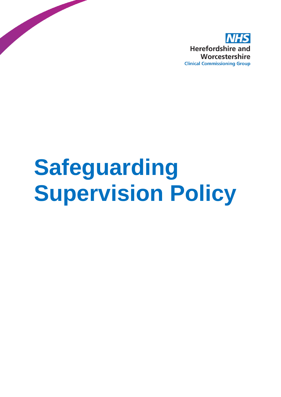

# **Safeguarding Supervision Policy**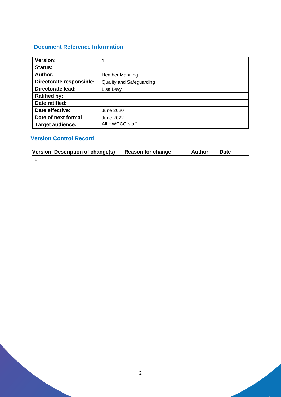# **Document Reference Information**

| <b>Version:</b>          | 1                               |  |  |
|--------------------------|---------------------------------|--|--|
| <b>Status:</b>           |                                 |  |  |
| Author:                  | <b>Heather Manning</b>          |  |  |
| Directorate responsible: | <b>Quality and Safeguarding</b> |  |  |
| <b>Directorate lead:</b> | Lisa Levy                       |  |  |
| <b>Ratified by:</b>      |                                 |  |  |
| Date ratified:           |                                 |  |  |
| Date effective:          | <b>June 2020</b>                |  |  |
| Date of next formal      | <b>June 2022</b>                |  |  |
| <b>Target audience:</b>  | All HWCCG staff                 |  |  |

# **Version Control Record**

| Version Description of change(s) | Reason for change | <b>Author</b> | Date |
|----------------------------------|-------------------|---------------|------|
|                                  |                   |               |      |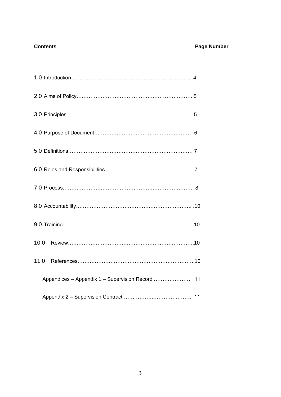# **Contents Contents Page Number**

| Appendices - Appendix 1 - Supervision Record  11 |  |
|--------------------------------------------------|--|
|                                                  |  |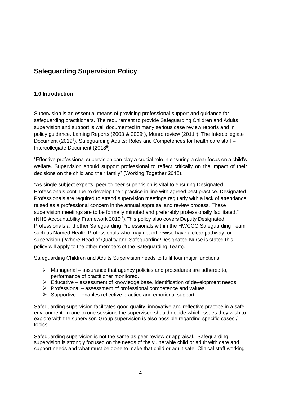# **Safeguarding Supervision Policy**

### **1.0 Introduction**

Supervision is an essential means of providing professional support and guidance for safeguarding practitioners. The requirement to provide Safeguarding Children and Adults supervision and support is well documented in many serious case review reports and in policy guidance. Laming Reports (2003<sup>1</sup>& 2009<sup>2</sup>), Munro review (2011<sup>3</sup>), The Intercollegiate Document (2019<sup>4</sup>), Safeguarding Adults: Roles and Competences for health care staff -Intercollegiate Document (2018<sup>5</sup>)

"Effective professional supervision can play a crucial role in ensuring a clear focus on a child's welfare. Supervision should support professional to reflect critically on the impact of their decisions on the child and their family" (Working Together 2018).

"As single subject experts, peer-to-peer supervision is vital to ensuring Designated Professionals continue to develop their practice in line with agreed best practice. Designated Professionals are required to attend supervision meetings regularly with a lack of attendance raised as a professional concern in the annual appraisal and review process. These supervision meetings are to be formally minuted and preferably professionally facilitated." (NHS Accountability Framework 2019 7 ).This policy also covers Deputy Designated Professionals and other Safeguarding Professionals within the HWCCG Safeguarding Team such as Named Health Professionals who may not otherwise have a clear pathway for supervision.( Where Head of Quality and Safeguarding/Designated Nurse is stated this policy will apply to the other members of the Safeguarding Team).

Safeguarding Children and Adults Supervision needs to fulfil four major functions:

- $\triangleright$  Managerial assurance that agency policies and procedures are adhered to, performance of practitioner monitored.
- $\triangleright$  Educative assessment of knowledge base, identification of development needs.
- $\triangleright$  Professional assessment of professional competence and values.
- $\triangleright$  Supportive enables reflective practice and emotional support.

Safeguarding supervision facilitates good quality, innovative and reflective practice in a safe environment. In one to one sessions the supervisee should decide which issues they wish to explore with the supervisor. Group supervision is also possible regarding specific cases / topics.

Safeguarding supervision is not the same as peer review or appraisal. Safeguarding supervision is strongly focused on the needs of the vulnerable child or adult with care and support needs and what must be done to make that child or adult safe. Clinical staff working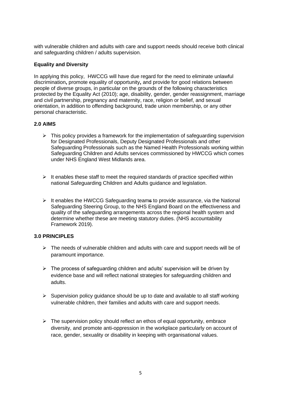with vulnerable children and adults with care and support needs should receive both clinical and safeguarding children / adults supervision.

#### **Equality and Diversity**

In applying this policy, HWCCG will have due regard for the need to eliminate unlawful discrimination**,** promote equality of opportunity**,** and provide for good relations between people of diverse groups, in particular on the grounds of the following characteristics protected by the Equality Act (2010); age, disability, gender, gender reassignment, marriage and civil partnership, pregnancy and maternity, race, religion or belief, and sexual orientation, in addition to offending background, trade union membership, or any other personal characteristic.

#### **2.0 AIMS**

- $\triangleright$  This policy provides a framework for the implementation of safeguarding supervision for Designated Professionals, Deputy Designated Professionals and other Safeguarding Professionals such as the Named Health Professionals working within Safeguarding Children and Adults services commissioned by HWCCG which comes under NHS England West Midlands area.
- $\triangleright$  It enables these staff to meet the required standards of practice specified within national Safeguarding Children and Adults guidance and legislation.
- $\triangleright$  It enables the HWCCG Safeguarding teams to provide assurance, via the National Safeguarding Steering Group, to the NHS England Board on the effectiveness and quality of the safeguarding arrangements across the regional health system and determine whether these are meeting statutory duties. (NHS accountability Framework 2019).

#### **3.0 PRINCIPLES**

- $\triangleright$  The needs of vulnerable children and adults with care and support needs will be of paramount importance.
- $\triangleright$  The process of safeguarding children and adults' supervision will be driven by evidence base and will reflect national strategies for safeguarding children and adults.
- ➢ Supervision policy guidance should be up to date and available to all staff working vulnerable children, their families and adults with care and support needs.
- $\triangleright$  The supervision policy should reflect an ethos of equal opportunity, embrace diversity, and promote anti-oppression in the workplace particularly on account of race, gender, sexuality or disability in keeping with organisational values.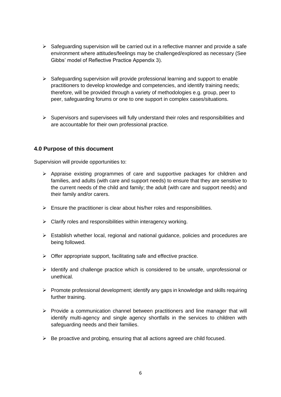- $\triangleright$  Safeguarding supervision will be carried out in a reflective manner and provide a safe environment where attitudes/feelings may be challenged/explored as necessary (See Gibbs' model of Reflective Practice Appendix 3).
- ➢ Safeguarding supervision will provide professional learning and support to enable practitioners to develop knowledge and competencies, and identify training needs; therefore, will be provided through a variety of methodologies e.g. group, peer to peer, safeguarding forums or one to one support in complex cases/situations.
- $\triangleright$  Supervisors and supervisees will fully understand their roles and responsibilities and are accountable for their own professional practice.

#### **4.0 Purpose of this document**

Supervision will provide opportunities to:

- ➢ Appraise existing programmes of care and supportive packages for children and families, and adults (with care and support needs) to ensure that they are sensitive to the current needs of the child and family; the adult (with care and support needs) and their family and/or carers.
- $\triangleright$  Ensure the practitioner is clear about his/her roles and responsibilities.
- $\triangleright$  Clarify roles and responsibilities within interagency working.
- ➢ Establish whether local, regional and national guidance, policies and procedures are being followed.
- $\triangleright$  Offer appropriate support, facilitating safe and effective practice.
- ➢ Identify and challenge practice which is considered to be unsafe, unprofessional or unethical.
- ➢ Promote professional development; identify any gaps in knowledge and skills requiring further training.
- ➢ Provide a communication channel between practitioners and line manager that will identify multi-agency and single agency shortfalls in the services to children with safeguarding needs and their families.
- $\triangleright$  Be proactive and probing, ensuring that all actions agreed are child focused.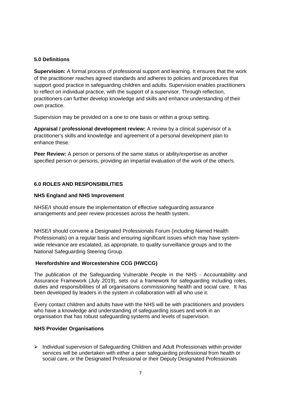#### **5.0 Definitions**

**Supervision:** A formal process of professional support and learning. It ensures that the work of the practitioner reaches agreed standards and adheres to policies and procedures that support good practice in safeguarding children and adults. Supervision enables practitioners to reflect on individual practice, with the support of a supervisor. Through reflection, practitioners can further develop knowledge and skills and enhance understanding of their own practice.

Supervision may be provided on a one to one basis or within a group setting.

**Appraisal / professional development review:** A review by a clinical supervisor of a practitioner's skills and knowledge and agreement of a personal development plan to enhance these.

**Peer Review:** A person or persons of the same status or ability/expertise as another specified person or persons, providing an impartial evaluation of the work of the other/s.

#### **6.0 ROLES AND RESPONSIBILITIES**

#### **NHS England and NHS Improvement**

NHSE/I should ensure the implementation of effective safeguarding assurance arrangements and peer review processes across the health system.

NHSE/I should convene a Designated Professionals Forum (including Named Health Professionals) on a regular basis and ensuring significant issues which may have systemwide relevance are escalated, as appropriate, to quality surveillance groups and to the National Safeguarding Steering Group.

#### **Herefordshire and Worcestershire CCG (HWCCG)**

The publication of the Safeguarding Vulnerable People in the NHS - Accountability and Assurance Framework (July 2019), sets out a framework for safeguarding including roles, duties and responsibilities of all organisations commissioning health and social care. It has been developed by leaders in the system in collaboration with all who use it.

Every contact children and adults have with the NHS will be with practitioners and providers who have a knowledge and understanding of safeguarding issues and work in an organisation that has robust safeguarding systems and levels of supervision.

#### **NHS Provider Organisations**

➢ Individual supervision of Safeguarding Children and Adult Professionals within provider services will be undertaken with either a peer safeguarding professional from health or social care, or the Designated Professional or their Deputy Designated Professionals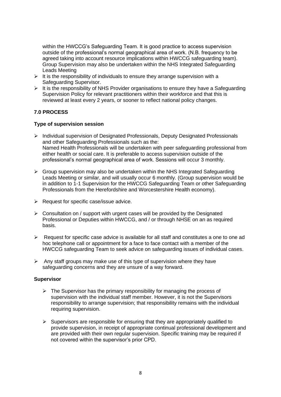within the HWCCG's Safeguarding Team. It is good practice to access supervision outside of the professional's normal geographical area of work. (N.B. frequency to be agreed taking into account resource implications within HWCCG safeguarding team). Group Supervision may also be undertaken within the NHS Integrated Safeguarding Leads Meeting

- $\triangleright$  It is the responsibility of individuals to ensure they arrange supervision with a Safeguarding Supervisor.
- ➢ It is the responsibility of NHS Provider organisations to ensure they have a Safeguarding Supervision Policy for relevant practitioners within their workforce and that this is reviewed at least every 2 years, or sooner to reflect national policy changes.

#### **7.0 PROCESS**

#### **Type of supervision session**

- ➢ Individual supervision of Designated Professionals, Deputy Designated Professionals and other Safeguarding Professionals such as the: Named Health Professionals will be undertaken with peer safeguarding professional from either health or social care. It is preferable to access supervision outside of the professional's normal geographical area of work. Sessions will occur 3 monthly.
- $\triangleright$  Group supervision may also be undertaken within the NHS Integrated Safeguarding Leads Meeting or similar, and will usually occur 6 monthly. (Group supervision would be in addition to 1-1 Supervision for the HWCCG Safeguarding Team or other Safeguarding Professionals from the Herefordshire and Worcestershire Health economy).
- ➢ Request for specific case/issue advice.
- ➢ Consultation on / support with urgent cases will be provided by the Designated Professional or Deputies within HWCCG, and / or through NHSE on an as required basis.
- $\triangleright$  Request for specific case advice is available for all staff and constitutes a one to one ad hoc telephone call or appointment for a face to face contact with a member of the HWCCG safeguarding Team to seek advice on safeguarding issues of individual cases.
- $\triangleright$  Any staff groups may make use of this type of supervision where they have safeguarding concerns and they are unsure of a way forward.

#### **Supervisor**

- $\triangleright$  The Supervisor has the primary responsibility for managing the process of supervision with the individual staff member. However, it is not the Supervisors responsibility to arrange supervision; that responsibility remains with the individual requiring supervision.
- $\triangleright$  Supervisors are responsible for ensuring that they are appropriately qualified to provide supervision, in receipt of appropriate continual professional development and are provided with their own regular supervision. Specific training may be required if not covered within the supervisor's prior CPD.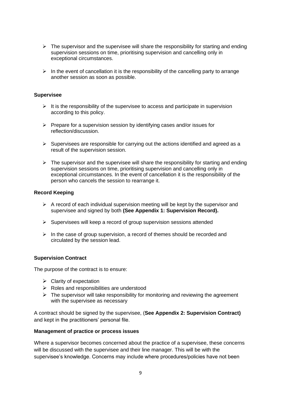- $\triangleright$  The supervisor and the supervisee will share the responsibility for starting and ending supervision sessions on time, prioritising supervision and cancelling only in exceptional circumstances.
- $\triangleright$  In the event of cancellation it is the responsibility of the cancelling party to arrange another session as soon as possible.

#### **Supervisee**

- $\triangleright$  It is the responsibility of the supervisee to access and participate in supervision according to this policy.
- ➢ Prepare for a supervision session by identifying cases and/or issues for reflection/discussion.
- $\triangleright$  Supervisees are responsible for carrying out the actions identified and agreed as a result of the supervision session.
- $\triangleright$  The supervisor and the supervisee will share the responsibility for starting and ending supervision sessions on time, prioritising supervision and cancelling only in exceptional circumstances. In the event of cancellation it is the responsibility of the person who cancels the session to rearrange it.

#### **Record Keeping**

- $\triangleright$  A record of each individual supervision meeting will be kept by the supervisor and supervisee and signed by both **(See Appendix 1: Supervision Record).**
- ➢ Supervisees will keep a record of group supervision sessions attended
- $\triangleright$  In the case of group supervision, a record of themes should be recorded and circulated by the session lead.

#### **Supervision Contract**

The purpose of the contract is to ensure:

- $\triangleright$  Clarity of expectation
- $\triangleright$  Roles and responsibilities are understood
- $\triangleright$  The supervisor will take responsibility for monitoring and reviewing the agreement with the supervisee as necessary

A contract should be signed by the supervisee, (**See Appendix 2: Supervision Contract)** and kept in the practitioners' personal file.

#### **Management of practice or process issues**

Where a supervisor becomes concerned about the practice of a supervisee, these concerns will be discussed with the supervisee and their line manager. This will be with the supervisee's knowledge. Concerns may include where procedures/policies have not been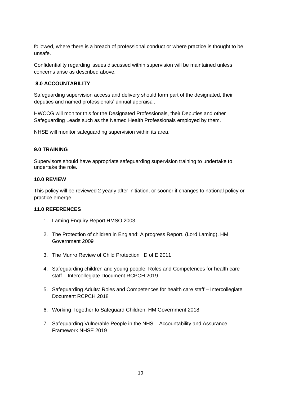followed, where there is a breach of professional conduct or where practice is thought to be unsafe.

Confidentiality regarding issues discussed within supervision will be maintained unless concerns arise as described above.

#### **8.0 ACCOUNTABILITY**

Safeguarding supervision access and delivery should form part of the designated, their deputies and named professionals' annual appraisal.

HWCCG will monitor this for the Designated Professionals, their Deputies and other Safeguarding Leads such as the Named Health Professionals employed by them.

NHSE will monitor safeguarding supervision within its area.

#### **9.0 TRAINING**

Supervisors should have appropriate safeguarding supervision training to undertake to undertake the role.

#### **10.0 REVIEW**

This policy will be reviewed 2 yearly after initiation, or sooner if changes to national policy or practice emerge.

#### **11.0 REFERENCES**

- 1. Laming Enquiry Report HMSO 2003
- 2. The Protection of children in England: A progress Report. (Lord Laming). HM Government 2009
- 3. The Munro Review of Child Protection. D of E 2011
- 4. Safeguarding children and young people: Roles and Competences for health care staff – Intercollegiate Document RCPCH 2019
- 5. Safeguarding Adults: Roles and Competences for health care staff Intercollegiate Document RCPCH 2018
- 6. Working Together to Safeguard Children HM Government 2018
- 7. Safeguarding Vulnerable People in the NHS Accountability and Assurance Framework NHSE 2019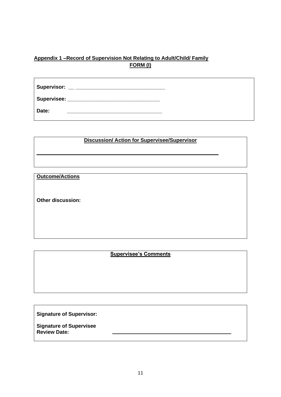# **Appendix 1 –Record of Supervision Not Relating to Adult/Child/ Family FORM (I)**

| Date: |  |
|-------|--|

| <b>Discussion/Action for Supervisee/Supervisor</b> |  |  |  |
|----------------------------------------------------|--|--|--|
|                                                    |  |  |  |

**\_\_\_\_\_\_\_\_\_\_\_\_\_\_\_\_\_\_\_\_\_\_\_\_\_\_\_\_\_\_\_\_\_\_\_\_\_\_\_\_\_\_\_\_\_\_\_\_\_\_\_\_\_\_\_\_\_\_\_\_\_\_\_**

**Outcome/Actions**

**Other discussion:**

### **Supervisee's Comments**

**Signature of Supervisor:**

**Signature of Supervisee Review Date:**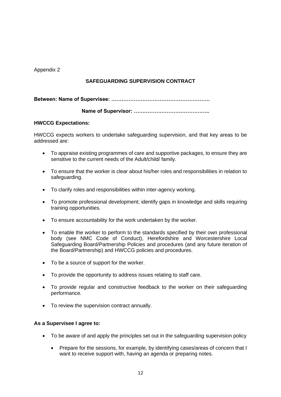Appendix 2

## **SAFEGUARDING SUPERVISION CONTRACT**

**Between: Name of Supervisee: …………………………………………………**

 **Name of Supervisor: ……………………………………..**

#### **HWCCG Expectations:**

HWCCG expects workers to undertake safeguarding supervision, and that key areas to be addressed are:

- To appraise existing programmes of care and supportive packages, to ensure they are sensitive to the current needs of the Adult/child/ family.
- To ensure that the worker is clear about his/her roles and responsibilities in relation to safeguarding.
- To clarify roles and responsibilities within inter-agency working.
- To promote professional development; identify gaps in knowledge and skills requiring training opportunities.
- To ensure accountability for the work undertaken by the worker.
- To enable the worker to perform to the standards specified by their own professional body (see NMC Code of Conduct), Herefordshire and Worcestershire Local Safeguarding Board/Partnership Policies and procedures (and any future iteration of the Board/Partnership) and HWCCG policies and procedures.
- To be a source of support for the worker.
- To provide the opportunity to address issues relating to staff care.
- To provide regular and constructive feedback to the worker on their safeguarding performance.
- To review the supervision contract annually.

#### **As a Supervisee I agree to:**

- To be aware of and apply the principles set out in the safeguarding supervision policy
	- Prepare for the sessions, for example, by identifying cases/areas of concern that I want to receive support with, having an agenda or preparing notes.